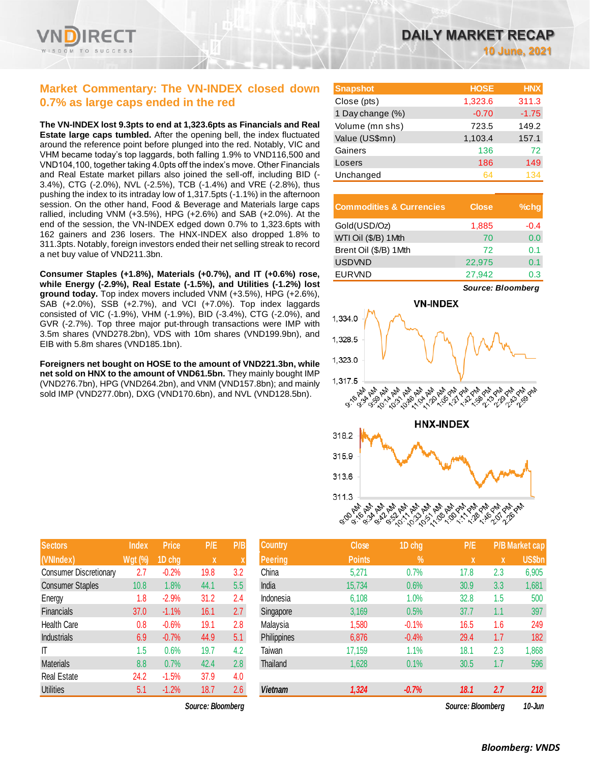# **Market Commentary: The VN-INDEX closed down 0.7% as large caps ended in the red**

**The VN-INDEX lost 9.3pts to end at 1,323.6pts as Financials and Real Estate large caps tumbled.** After the opening bell, the index fluctuated around the reference point before plunged into the red. Notably, VIC and VHM became today's top laggards, both falling 1.9% to VND116,500 and VND104,100, together taking 4.0pts off the index's move. Other Financials and Real Estate market pillars also joined the sell-off, including BID (- 3.4%), CTG (-2.0%), NVL (-2.5%), TCB (-1.4%) and VRE (-2.8%), thus pushing the index to its intraday low of 1,317.5pts (-1.1%) in the afternoon session. On the other hand, Food & Beverage and Materials large caps rallied, including VNM (+3.5%), HPG (+2.6%) and SAB (+2.0%). At the end of the session, the VN-INDEX edged down 0.7% to 1,323.6pts with 162 gainers and 236 losers. The HNX-INDEX also dropped 1.8% to 311.3pts. Notably, foreign investors ended their net selling streak to record a net buy value of VND211.3bn.

**Consumer Staples (+1.8%), Materials (+0.7%), and IT (+0.6%) rose, while Energy (-2.9%), Real Estate (-1.5%), and Utilities (-1.2%) lost ground today.** Top index movers included VNM (+3.5%), HPG (+2.6%), SAB (+2.0%), SSB (+2.7%), and VCI (+7.0%). Top index laggards consisted of VIC (-1.9%), VHM (-1.9%), BID (-3.4%), CTG (-2.0%), and GVR (-2.7%). Top three major put-through transactions were IMP with 3.5m shares (VND278.2bn), VDS with 10m shares (VND199.9bn), and EIB with 5.8m shares (VND185.1bn).

**Foreigners net bought on HOSE to the amount of VND221.3bn, while net sold on HNX to the amount of VND61.5bn.** They mainly bought IMP (VND276.7bn), HPG (VND264.2bn), and VNM (VND157.8bn); and mainly sold IMP (VND277.0bn), DXG (VND170.6bn), and NVL (VND128.5bn).

| DAILY MARKET RECAP |  |  |
|--------------------|--|--|
|                    |  |  |

**10 June, 2021**

| <b>Snapshot</b>  | <b>HOSE</b> | <b>HNX</b> |
|------------------|-------------|------------|
| Close (pts)      | 1,323.6     | 311.3      |
| 1 Day change (%) | $-0.70$     | $-1.75$    |
| Volume (mn shs)  | 723.5       | 149.2      |
| Value (US\$mn)   | 1,103.4     | 157.1      |
| Gainers          | 136         | 72         |
| Losers           | 186         | 149        |
| Unchanged        | 64          | 134        |

| <b>Commodities &amp; Currencies</b> | <b>Close</b> | $%$ chq |
|-------------------------------------|--------------|---------|
| Gold(USD/Oz)                        | 1,885        | $-0.4$  |
| WTI Oil (\$/B) 1Mth                 | 70           | 0.0     |
| Brent Oil (\$/B) 1Mth               | 72           | 0.1     |
| <b>USDVND</b>                       | 22,975       | 0.1     |
| <b>EURVND</b>                       | 27,942       | 0.3     |

*Source: Bloomberg*



| <b>Sectors</b>                | <b>Index</b>   | <b>Price</b> | P/E  | P/B |
|-------------------------------|----------------|--------------|------|-----|
| (VNIndex)                     | <b>Wgt (%)</b> | 1D chg       | X    | X   |
| <b>Consumer Discretionary</b> | 2.7            | $-0.2%$      | 19.8 | 3.2 |
| <b>Consumer Staples</b>       | 10.8           | 1.8%         | 44.1 | 5.5 |
| Energy                        | 1.8            | $-2.9%$      | 31.2 | 2.4 |
| <b>Financials</b>             | 37.0           | $-1.1%$      | 16.1 | 2.7 |
| Health Care                   | 0.8            | $-0.6%$      | 19.1 | 2.8 |
| <b>Industrials</b>            | 6.9            | $-0.7%$      | 44.9 | 5.1 |
| ıτ                            | 1.5            | 0.6%         | 19.7 | 4.2 |
| <b>Materials</b>              | 8.8            | 0.7%         | 42.4 | 2.8 |
| <b>Real Estate</b>            | 24.2           | $-1.5%$      | 37.9 | 4.0 |
| <b>Utilities</b>              | 5.1            | $-1.2%$      | 18.7 | 2.6 |

| <b>Sectors</b>                | <b>Index</b>   | <b>Price</b> | P/E  | P/B                       | <b>Country</b> | <b>Close</b>  | 1D chg  | P/E               |     | <b>P/B Market cap</b> |
|-------------------------------|----------------|--------------|------|---------------------------|----------------|---------------|---------|-------------------|-----|-----------------------|
| (VNIndex)                     | <b>Wgt (%)</b> | 1D chg       | X    | $\boldsymbol{\mathsf{A}}$ | <b>Peering</b> | <b>Points</b> | $\%$    | $\mathbf{x}$      | X   | <b>US\$bn</b>         |
| <b>Consumer Discretionary</b> | 2.7            | $-0.2%$      | 19.8 | 3.2                       | China          | 5,271         | 0.7%    | 17.8              | 2.3 | 6,905                 |
| <b>Consumer Staples</b>       | 10.8           | 1.8%         | 44.1 | 5.5                       | India          | 15,734        | 0.6%    | 30.9              | 3.3 | 1,681                 |
| Energy                        | 1.8            | $-2.9%$      | 31.2 | 2.4                       | Indonesia      | 6,108         | 1.0%    | 32.8              | 1.5 | 500                   |
| Financials                    | 37.0           | $-1.1%$      | 16.1 | 2.7                       | Singapore      | 3,169         | 0.5%    | 37.7              | 1.1 | 397                   |
| Health Care                   | 0.8            | $-0.6%$      | 19.1 | 2.8                       | Malaysia       | 1,580         | $-0.1%$ | 16.5              | 1.6 | 249                   |
| <b>Industrials</b>            | 6.9            | $-0.7%$      | 44.9 | 5.1                       | Philippines    | 6,876         | $-0.4%$ | 29.4              | 1.7 | 182                   |
|                               | 1.5            | 0.6%         | 19.7 | 4.2                       | Taiwan         | 17,159        | 1.1%    | 18.1              | 2.3 | 1,868                 |
| Materials                     | 8.8            | 0.7%         | 42.4 | 2.8                       | Thailand       | 1,628         | 0.1%    | 30.5              | 1.7 | 596                   |
| Real Estate                   | 24.2           | $-1.5%$      | 37.9 | 4.0                       |                |               |         |                   |     |                       |
| <b>Utilities</b>              | 5.1            | $-1.2%$      | 18.7 | 2.6                       | <b>Vietnam</b> | 1,324         | $-0.7%$ | 18.1              | 2.7 | 218                   |
| Source: Bloombera             |                |              |      |                           |                |               |         | Source: Bloombera |     | 10-Jun                |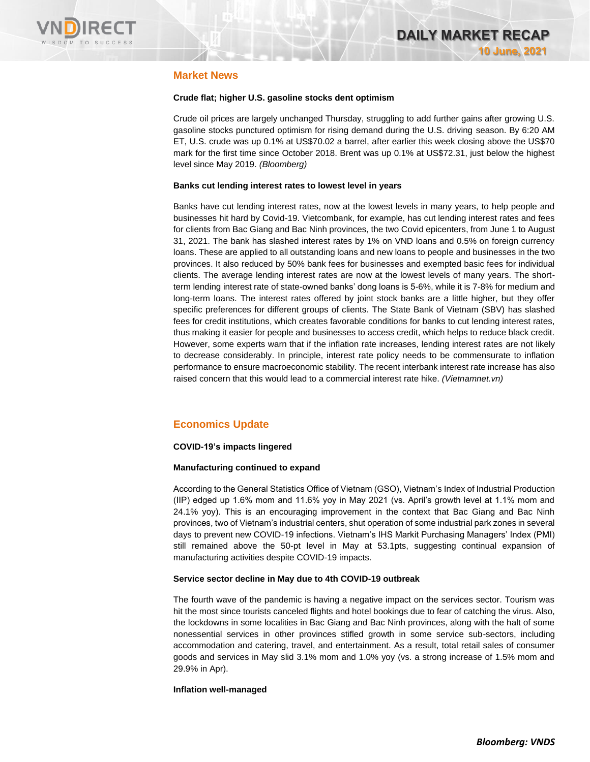

### **Market News**

### **Crude flat; higher U.S. gasoline stocks dent optimism**

Crude oil prices are largely unchanged Thursday, struggling to add further gains after growing U.S. gasoline stocks punctured optimism for rising demand during the U.S. driving season. By 6:20 AM ET, U.S. crude was up 0.1% at US\$70.02 a barrel, after earlier this week closing above the US\$70 mark for the first time since October 2018. Brent was up 0.1% at US\$72.31, just below the highest level since May 2019. *(Bloomberg)*

### **Banks cut lending interest rates to lowest level in years**

Banks have cut lending interest rates, now at the lowest levels in many years, to help people and businesses hit hard by Covid-19. Vietcombank, for example, has cut lending interest rates and fees for clients from Bac Giang and Bac Ninh provinces, the two Covid epicenters, from June 1 to August 31, 2021. The bank has slashed interest rates by 1% on VND loans and 0.5% on foreign currency loans. These are applied to all outstanding loans and new loans to people and businesses in the two provinces. It also reduced by 50% bank fees for businesses and exempted basic fees for individual clients. The average lending interest rates are now at the lowest levels of many years. The shortterm lending interest rate of state-owned banks' dong loans is 5-6%, while it is 7-8% for medium and long-term loans. The interest rates offered by joint stock banks are a little higher, but they offer specific preferences for different groups of clients. The State Bank of Vietnam (SBV) has slashed fees for credit institutions, which creates favorable conditions for banks to cut lending interest rates, thus making it easier for people and businesses to access credit, which helps to reduce black credit. However, some experts warn that if the inflation rate increases, lending interest rates are not likely to decrease considerably. In principle, interest rate policy needs to be commensurate to inflation performance to ensure macroeconomic stability. The recent interbank interest rate increase has also raised concern that this would lead to a commercial interest rate hike. *(Vietnamnet.vn)*

## **Economics Update**

### **COVID-19's impacts lingered**

### **Manufacturing continued to expand**

According to the General Statistics Office of Vietnam (GSO), Vietnam's Index of Industrial Production (IIP) edged up 1.6% mom and 11.6% yoy in May 2021 (vs. April's growth level at 1.1% mom and 24.1% yoy). This is an encouraging improvement in the context that Bac Giang and Bac Ninh provinces, two of Vietnam's industrial centers, shut operation of some industrial park zones in several days to prevent new COVID-19 infections. Vietnam's IHS Markit Purchasing Managers' Index (PMI) still remained above the 50-pt level in May at 53.1pts, suggesting continual expansion of manufacturing activities despite COVID-19 impacts.

### **Service sector decline in May due to 4th COVID-19 outbreak**

The fourth wave of the pandemic is having a negative impact on the services sector. Tourism was hit the most since tourists canceled flights and hotel bookings due to fear of catching the virus. Also, the lockdowns in some localities in Bac Giang and Bac Ninh provinces, along with the halt of some nonessential services in other provinces stifled growth in some service sub-sectors, including accommodation and catering, travel, and entertainment. As a result, total retail sales of consumer goods and services in May slid 3.1% mom and 1.0% yoy (vs. a strong increase of 1.5% mom and 29.9% in Apr).

### **Inflation well-managed**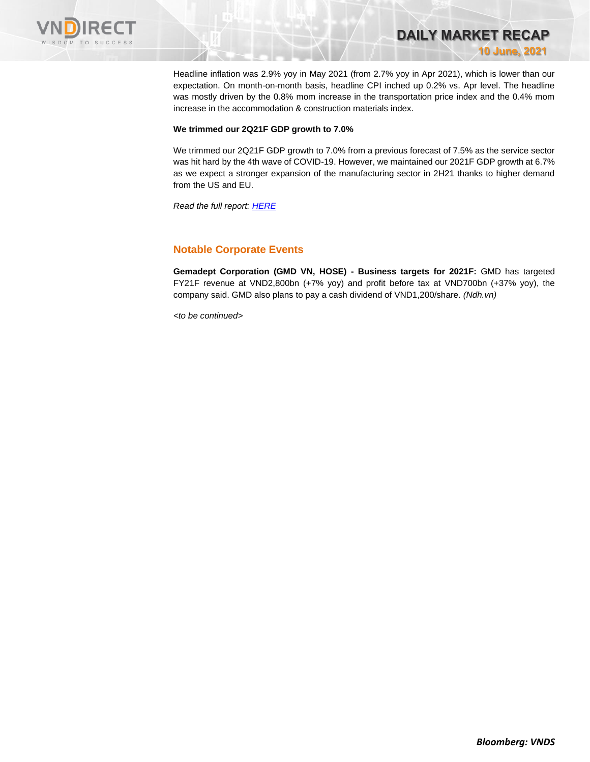

Headline inflation was 2.9% yoy in May 2021 (from 2.7% yoy in Apr 2021), which is lower than our expectation. On month-on-month basis, headline CPI inched up 0.2% vs. Apr level. The headline was mostly driven by the 0.8% mom increase in the transportation price index and the 0.4% mom increase in the accommodation & construction materials index.

**DAILY MARKET RECAP** 

**10 June, 2021**

#### **We trimmed our 2Q21F GDP growth to 7.0%**

We trimmed our 2Q21F GDP growth to 7.0% from a previous forecast of 7.5% as the service sector was hit hard by the 4th wave of COVID-19. However, we maintained our 2021F GDP growth at 6.7% as we expect a stronger expansion of the manufacturing sector in 2H21 thanks to higher demand from the US and EU.

*Read the full report[: HERE](https://nhanha-public-api.vndirect.com.vn/click/OGE0ODlmZDA3NTYyMzU3MDAxNzU2MmUzNWNiMzEyMTE=/MGE3N2YyMjljNzgxNDU3Y2IzYzFlZDk2MmU5NTljZmI=/0a77f229c781457cb3c1ed962e959cfb-Econ_Update_20210610.pdf/cmVzZWFyY2hAdm5kaXJlY3QuY29tLnZu/MzE5ODI=)*

### **Notable Corporate Events**

**Gemadept Corporation (GMD VN, HOSE) - Business targets for 2021F:** GMD has targeted FY21F revenue at VND2,800bn (+7% yoy) and profit before tax at VND700bn (+37% yoy), the company said. GMD also plans to pay a cash dividend of VND1,200/share. *(Ndh.vn)*

*<to be continued>*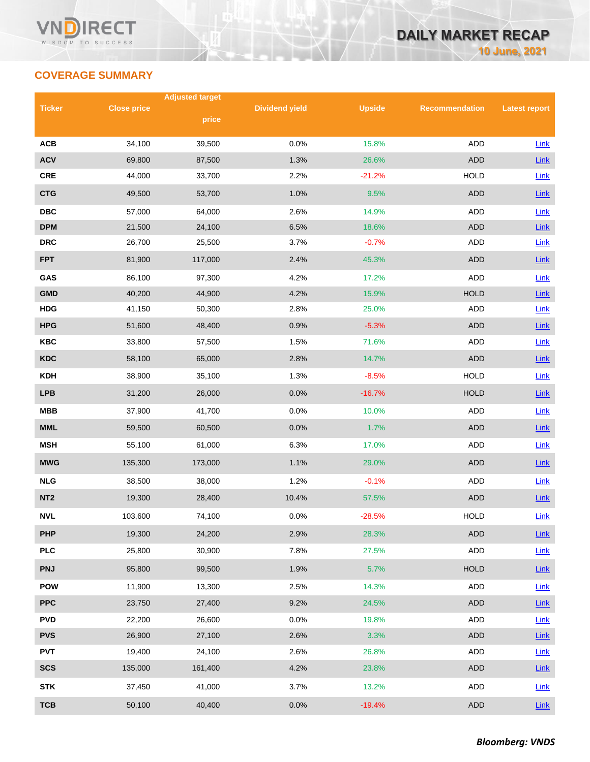# **COVERAGE SUMMARY**

|                 |                    | <b>Adjusted target</b> |                       |               |                       |                      |
|-----------------|--------------------|------------------------|-----------------------|---------------|-----------------------|----------------------|
| <b>Ticker</b>   | <b>Close price</b> | price                  | <b>Dividend yield</b> | <b>Upside</b> | <b>Recommendation</b> | <b>Latest report</b> |
|                 |                    |                        |                       |               |                       |                      |
| <b>ACB</b>      | 34,100             | 39,500                 | 0.0%                  | 15.8%         | <b>ADD</b>            | Link                 |
| <b>ACV</b>      | 69,800             | 87,500                 | 1.3%                  | 26.6%         | <b>ADD</b>            | $Link$               |
| <b>CRE</b>      | 44,000             | 33,700                 | 2.2%                  | $-21.2%$      | <b>HOLD</b>           | Link                 |
| <b>CTG</b>      | 49,500             | 53,700                 | 1.0%                  | 9.5%          | <b>ADD</b>            | Link                 |
| <b>DBC</b>      | 57,000             | 64,000                 | 2.6%                  | 14.9%         | ADD                   | Link                 |
| <b>DPM</b>      | 21,500             | 24,100                 | 6.5%                  | 18.6%         | <b>ADD</b>            | Link                 |
| <b>DRC</b>      | 26,700             | 25,500                 | 3.7%                  | $-0.7%$       | <b>ADD</b>            | Link                 |
| <b>FPT</b>      | 81,900             | 117,000                | 2.4%                  | 45.3%         | <b>ADD</b>            | Link                 |
| GAS             | 86,100             | 97,300                 | 4.2%                  | 17.2%         | <b>ADD</b>            | Link                 |
| <b>GMD</b>      | 40,200             | 44,900                 | 4.2%                  | 15.9%         | <b>HOLD</b>           | Link                 |
| <b>HDG</b>      | 41,150             | 50,300                 | 2.8%                  | 25.0%         | ADD                   | Link                 |
| <b>HPG</b>      | 51,600             | 48,400                 | 0.9%                  | $-5.3%$       | <b>ADD</b>            | Link                 |
| <b>KBC</b>      | 33,800             | 57,500                 | 1.5%                  | 71.6%         | ADD                   | Link                 |
| <b>KDC</b>      | 58,100             | 65,000                 | 2.8%                  | 14.7%         | <b>ADD</b>            | Link                 |
| <b>KDH</b>      | 38,900             | 35,100                 | 1.3%                  | $-8.5%$       | <b>HOLD</b>           | Link                 |
| <b>LPB</b>      | 31,200             | 26,000                 | 0.0%                  | $-16.7%$      | <b>HOLD</b>           | Link                 |
| <b>MBB</b>      | 37,900             | 41,700                 | 0.0%                  | 10.0%         | <b>ADD</b>            | Link                 |
| <b>MML</b>      | 59,500             | 60,500                 | 0.0%                  | 1.7%          | <b>ADD</b>            | Link                 |
| <b>MSH</b>      | 55,100             | 61,000                 | 6.3%                  | 17.0%         | ADD                   | Link                 |
| <b>MWG</b>      | 135,300            | 173,000                | 1.1%                  | 29.0%         | <b>ADD</b>            | Link                 |
| <b>NLG</b>      | 38,500             | 38,000                 | 1.2%                  | $-0.1%$       | ADD                   | Link                 |
| NT <sub>2</sub> | 19,300             | 28,400                 | 10.4%                 | 57.5%         | <b>ADD</b>            | Link                 |
| <b>NVL</b>      | 103,600            | 74,100                 | 0.0%                  | $-28.5%$      | <b>HOLD</b>           | Link                 |
| <b>PHP</b>      | 19,300             | 24,200                 | 2.9%                  | 28.3%         | ADD                   | $Link$               |
| <b>PLC</b>      | 25,800             | 30,900                 | 7.8%                  | 27.5%         | ADD                   | Link                 |
| <b>PNJ</b>      | 95,800             | 99,500                 | 1.9%                  | 5.7%          | <b>HOLD</b>           | Link                 |
| <b>POW</b>      | 11,900             | 13,300                 | 2.5%                  | 14.3%         | ADD                   | Link                 |
| <b>PPC</b>      | 23,750             | 27,400                 | 9.2%                  | 24.5%         | ADD                   | $Link$               |
| <b>PVD</b>      | 22,200             | 26,600                 | 0.0%                  | 19.8%         | ADD                   | <b>Link</b>          |
| <b>PVS</b>      | 26,900             | 27,100                 | 2.6%                  | 3.3%          | <b>ADD</b>            | $Link$               |
| <b>PVT</b>      | 19,400             | 24,100                 | 2.6%                  | 26.8%         | ADD                   | Link                 |
| <b>SCS</b>      | 135,000            | 161,400                | 4.2%                  | 23.8%         | ADD                   | $Link$               |
| <b>STK</b>      | 37,450             | 41,000                 | 3.7%                  | 13.2%         | ADD                   | Link                 |
| <b>TCB</b>      | 50,100             | 40,400                 | 0.0%                  | $-19.4%$      | <b>ADD</b>            | Link                 |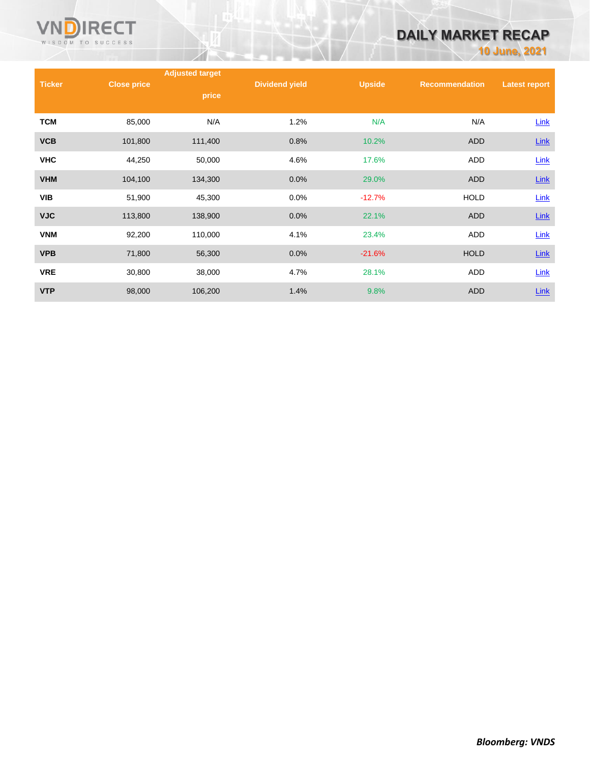

# **DAILY MARKET RECAP**

**10 June, 2021**

|               |                    | <b>Adjusted target</b> |                       |               |                       |                      |
|---------------|--------------------|------------------------|-----------------------|---------------|-----------------------|----------------------|
| <b>Ticker</b> | <b>Close price</b> | price                  | <b>Dividend yield</b> | <b>Upside</b> | <b>Recommendation</b> | <b>Latest report</b> |
| <b>TCM</b>    | 85,000             | N/A                    | 1.2%                  | N/A           | N/A                   | Link                 |
| <b>VCB</b>    | 101,800            | 111,400                | 0.8%                  | 10.2%         | <b>ADD</b>            | Link                 |
| <b>VHC</b>    | 44,250             | 50,000                 | 4.6%                  | 17.6%         | ADD                   | Link                 |
| <b>VHM</b>    | 104,100            | 134,300                | 0.0%                  | 29.0%         | <b>ADD</b>            | $Link$               |
| <b>VIB</b>    | 51,900             | 45,300                 | 0.0%                  | $-12.7%$      | <b>HOLD</b>           | <b>Link</b>          |
| <b>VJC</b>    | 113,800            | 138,900                | 0.0%                  | 22.1%         | <b>ADD</b>            | $Link$               |
| <b>VNM</b>    | 92,200             | 110,000                | 4.1%                  | 23.4%         | ADD                   | Link                 |
| <b>VPB</b>    | 71,800             | 56,300                 | 0.0%                  | $-21.6%$      | <b>HOLD</b>           | <b>Link</b>          |
| <b>VRE</b>    | 30,800             | 38,000                 | 4.7%                  | 28.1%         | <b>ADD</b>            | <b>Link</b>          |
| <b>VTP</b>    | 98,000             | 106,200                | 1.4%                  | 9.8%          | <b>ADD</b>            | Link                 |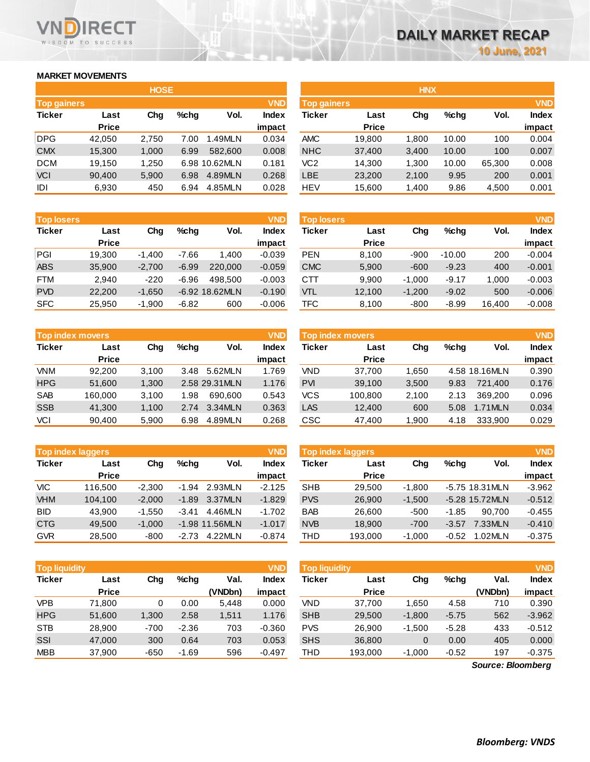### **MARKET MOVEMENTS**

WISDOM TO SUCCESS

**RECT** 

| <b>HOSE</b>        |              |       |      |               |              |  |  |  |
|--------------------|--------------|-------|------|---------------|--------------|--|--|--|
| <b>Top gainers</b> |              |       |      |               | <b>VND</b>   |  |  |  |
| <b>Ticker</b>      | Last         | Cha   | %chq | Vol.          | <b>Index</b> |  |  |  |
|                    | <b>Price</b> |       |      |               | impact       |  |  |  |
| <b>DPG</b>         | 42.050       | 2,750 | 7.00 | 1.49MLN       | 0.034        |  |  |  |
| <b>CMX</b>         | 15,300       | 1,000 | 6.99 | 582.600       | 0.008        |  |  |  |
| <b>DCM</b>         | 19,150       | 1,250 |      | 6.98 10.62MLN | 0.181        |  |  |  |
| VCI                | 90,400       | 5,900 | 6.98 | 4.89MLN       | 0.268        |  |  |  |
| IDI                | 6,930        | 450   | 6.94 | 4.85MLN       | 0.028        |  |  |  |

| <b>Top losers</b> |              |          |         |                  | <b>VND</b>   |
|-------------------|--------------|----------|---------|------------------|--------------|
| <b>Ticker</b>     | Last         | Cha      | %chq    | Vol.             | <b>Index</b> |
|                   | <b>Price</b> |          |         |                  | impact       |
| PGI               | 19,300       | $-1,400$ | -7.66   | 1,400            | $-0.039$     |
| <b>ABS</b>        | 35,900       | $-2,700$ | $-6.99$ | 220,000          | $-0.059$     |
| <b>FTM</b>        | 2.940        | $-220$   | $-6.96$ | 498.500          | $-0.003$     |
| <b>PVD</b>        | 22,200       | $-1,650$ |         | $-6.92$ 18.62MLN | $-0.190$     |
| <b>SFC</b>        | 25,950       | $-1,900$ | $-6.82$ | 600              | $-0.006$     |

| <b>Top index movers</b> | <b>VND</b>   |       |      |                |              |
|-------------------------|--------------|-------|------|----------------|--------------|
| <b>Ticker</b>           | Last         | Cha   | %chq | Vol.           | <b>Index</b> |
|                         | <b>Price</b> |       |      |                | impact       |
| <b>VNM</b>              | 92,200       | 3,100 | 3.48 | 5.62MLN        | 1.769        |
| <b>HPG</b>              | 51,600       | 1,300 |      | 2.58 29.31 MLN | 1.176        |
| <b>SAB</b>              | 160,000      | 3,100 | 1.98 | 690.600        | 0.543        |
| <b>SSB</b>              | 41,300       | 1,100 | 2.74 | 3.34MLN        | 0.363        |
| VCI                     | 90,400       | 5,900 | 6.98 | 4.89MLN        | 0.268        |

| <b>Top index laggers</b> |              |          |         |                |              |  |  |
|--------------------------|--------------|----------|---------|----------------|--------------|--|--|
| <b>Ticker</b>            | Last         | Cha      | $%$ chq | Vol.           | <b>Index</b> |  |  |
|                          | <b>Price</b> |          |         |                | impact       |  |  |
| VIC                      | 116,500      | $-2,300$ | $-1.94$ | 2.93MLN        | $-2.125$     |  |  |
| <b>VHM</b>               | 104,100      | $-2,000$ | $-1.89$ | 3.37MLN        | $-1.829$     |  |  |
| <b>BID</b>               | 43.900       | $-1,550$ | $-3.41$ | 4.46MLN        | $-1.702$     |  |  |
| <b>CTG</b>               | 49,500       | $-1,000$ |         | -1.98 11.56MLN | $-1.017$     |  |  |
| <b>GVR</b>               | 28.500       | $-800$   | $-2.73$ | 4.22MLN        | $-0.874$     |  |  |

| <b>VND</b><br><b>Top liquidity</b> |              |        |         |         |              |  |  |
|------------------------------------|--------------|--------|---------|---------|--------------|--|--|
| <b>Ticker</b>                      | Last         | Cha    | %chq    | Val.    | <b>Index</b> |  |  |
|                                    | <b>Price</b> |        |         | (VNDbn) | impact       |  |  |
| <b>VPB</b>                         | 71,800       | 0      | 0.00    | 5,448   | 0.000        |  |  |
| <b>HPG</b>                         | 51,600       | 1,300  | 2.58    | 1,511   | 1.176        |  |  |
| <b>STB</b>                         | 28.900       | $-700$ | $-2.36$ | 703     | $-0.360$     |  |  |
| SSI                                | 47,000       | 300    | 0.64    | 703     | 0.053        |  |  |
| <b>MBB</b>                         | 37,900       | $-650$ | $-1.69$ | 596     | $-0.497$     |  |  |

|                    |              | <b>HOSE</b> |      |               |              |                    |              | <b>HNX</b> |       |        |              |
|--------------------|--------------|-------------|------|---------------|--------------|--------------------|--------------|------------|-------|--------|--------------|
| <b>Top gainers</b> |              |             |      |               | <b>VND</b>   | <b>Top gainers</b> |              |            |       |        | <b>VND</b>   |
| Ticker             | Last         | Chg         | %chg | Vol.          | <b>Index</b> | Ticker             | Last         | Chg        | %chq  | Vol.   | <b>Index</b> |
|                    | <b>Price</b> |             |      |               | impact       |                    | <b>Price</b> |            |       |        | impact       |
| DPG.               | 42.050       | 2.750       | 7.00 | .49MLN        | 0.034        | <b>AMC</b>         | 19,800       | 1.800      | 10.00 | 100    | 0.004        |
| <b>CMX</b>         | 15,300       | 1,000       | 6.99 | 582,600       | 0.008        | <b>NHC</b>         | 37,400       | 3,400      | 10.00 | 100    | 0.007        |
| DCM                | 19.150       | 1,250       |      | 6.98 10.62MLN | 0.181        | VC <sub>2</sub>    | 14.300       | 1,300      | 10.00 | 65.300 | 0.008        |
| <b>VCI</b>         | 90,400       | 5,900       | 6.98 | 4.89MLN       | 0.268        | LBE                | 23,200       | 2,100      | 9.95  | 200    | 0.001        |
| IDI                | 6,930        | 450         | 6.94 | 4.85MLN       | 0.028        | <b>HEV</b>         | 15,600       | 1,400      | 9.86  | 4,500  | 0.001        |

| <b>Top losers</b> |              |          |         |                  | <b>VND</b>   | <b>Top losers</b> |              |          |          |        | <b>VND</b>   |
|-------------------|--------------|----------|---------|------------------|--------------|-------------------|--------------|----------|----------|--------|--------------|
| Ticker            | Last         | Chg      | %chq    | Vol.             | <b>Index</b> | Ticker            | Last         | Chg      | %chq     | Vol.   | <b>Index</b> |
|                   | <b>Price</b> |          |         |                  | impact       |                   | <b>Price</b> |          |          |        | impact       |
| PGI               | 19.300       | $-1.400$ | $-7.66$ | 1.400            | $-0.039$     | <b>PEN</b>        | 8,100        | $-900$   | $-10.00$ | 200    | $-0.004$     |
| ABS               | 35,900       | $-2,700$ | $-6.99$ | 220,000          | $-0.059$     | <b>CMC</b>        | 5,900        | $-600$   | $-9.23$  | 400    | $-0.001$     |
| FTM               | 2.940        | $-220$   | $-6.96$ | 498.500          | $-0.003$     | CTT               | 9,900        | $-1.000$ | $-9.17$  | 1.000  | $-0.003$     |
| <b>PVD</b>        | 22,200       | $-1,650$ |         | $-6.92$ 18.62MLN | $-0.190$     | <b>VTL</b>        | 12,100       | $-1,200$ | $-9.02$  | 500    | $-0.006$     |
| <b>SFC</b>        | 25,950       | $-1,900$ | $-6.82$ | 600              | $-0.006$     | TFC               | 8,100        | $-800$   | $-8.99$  | 16,400 | $-0.008$     |
|                   |              |          |         |                  |              |                   |              |          |          |        |              |

| Top index movers |              |       |      |                | <b>VND</b>   |                  | <b>Top index movers</b> |       |         |               | <b>VND</b>   |
|------------------|--------------|-------|------|----------------|--------------|------------------|-------------------------|-------|---------|---------------|--------------|
| Ticker           | Last         | Chg   | %chq | Vol.           | <b>Index</b> | Ticker           | Last                    | Chg   | $%$ chq | Vol.          | <b>Index</b> |
|                  | <b>Price</b> |       |      |                | impact       |                  | <b>Price</b>            |       |         |               | impact       |
| <b>VNM</b>       | 92.200       | 3.100 | 3.48 | 5.62MLN        | 1.769        | VND              | 37.700                  | 1.650 |         | 4.58 18.16MLN | 0.390        |
| <b>HPG</b>       | 51.600       | 1,300 |      | 2.58 29.31 MLN | 1.176        | <b>PVI</b>       | 39,100                  | 3,500 | 9.83    | 721.400       | 0.176        |
| <b>SAB</b>       | 160.000      | 3.100 | 1.98 | 690,600        | 0.543        | <b>VCS</b>       | 100.800                 | 2.100 | 2.13    | 369.200       | 0.096        |
| <b>SSB</b>       | 41.300       | 1,100 | 2.74 | 3.34MLN        | 0.363        | LAS <sup>-</sup> | 12,400                  | 600   | 5.08    | 1.71MLN       | 0.034        |
| VCI              | 90,400       | 5,900 | 6.98 | 4.89MLN        | 0.268        | CSC              | 47,400                  | 1,900 | 4.18    | 333,900       | 0.029        |

|            | <b>Top index laggers</b> |          |         |                  | <b>VND</b> |            | Top index laggers |          |         |                  | <b>VND</b>   |
|------------|--------------------------|----------|---------|------------------|------------|------------|-------------------|----------|---------|------------------|--------------|
| Ticker     | Last                     | Chg      | $%$ chq | Vol.             | Index      | Ticker     | Last              | Chg      | %chq    | Vol.             | <b>Index</b> |
|            | <b>Price</b>             |          |         |                  | impact     |            | <b>Price</b>      |          |         |                  | impact       |
| VIC        | 116.500                  | $-2.300$ | $-1.94$ | 2.93MLN          | $-2.125$   | <b>SHB</b> | 29.500            | $-1.800$ |         | -5.75 18.31 MLN  | $-3.962$     |
| <b>VHM</b> | 104.100                  | $-2.000$ | $-1.89$ | 3.37MLN          | $-1.829$   | <b>PVS</b> | 26,900            | $-1.500$ |         | $-5.28$ 15.72MLN | $-0.512$     |
| BID        | 43.900                   | $-1.550$ | $-3.41$ | 4.46MLN          | $-1.702$   | <b>BAB</b> | 26.600            | $-500$   | $-1.85$ | 90.700           | $-0.455$     |
| CTG        | 49,500                   | $-1.000$ |         | $-1.98$ 11.56MLN | $-1.017$   | <b>NVB</b> | 18,900            | $-700$   | $-3.57$ | 7.33MLN          | $-0.410$     |
| <b>GVR</b> | 28,500                   | $-800$   | $-2.73$ | 4.22MLN          | $-0.874$   | THD        | 193,000           | $-1,000$ | $-0.52$ | 1.02MLN          | $-0.375$     |

| Top liquidity' |              |        |         |         | <b>VND</b> | <b>Top liquidity</b> |              |          |         |         | <b>VND</b>   |
|----------------|--------------|--------|---------|---------|------------|----------------------|--------------|----------|---------|---------|--------------|
| Ticker         | Last         | Chg    | $%$ chq | Val.    | Index      | Ticker               | Last         | Chg      | %chq    | Val.    | <b>Index</b> |
|                | <b>Price</b> |        |         | (VNDbn) | impact     |                      | <b>Price</b> |          |         | (VNDbn) | impact       |
| VPB            | 71.800       | 0      | 0.00    | 5.448   | 0.000      | VND                  | 37.700       | 650. ا   | 4.58    | 710     | 0.390        |
| <b>HPG</b>     | 51,600       | 1.300  | 2.58    | 1,511   | 1.176      | <b>SHB</b>           | 29,500       | $-1.800$ | $-5.75$ | 562     | $-3.962$     |
| <b>STB</b>     | 28,900       | $-700$ | $-2.36$ | 703     | $-0.360$   | <b>PVS</b>           | 26.900       | $-1.500$ | $-5.28$ | 433     | $-0.512$     |
| SSI            | 47,000       | 300    | 0.64    | 703     | 0.053      | <b>SHS</b>           | 36,800       | 0        | 0.00    | 405     | 0.000        |
| <b>MBB</b>     | 37,900       | -650   | $-1.69$ | 596     | $-0.497$   | THD                  | 193.000      | $-1.000$ | $-0.52$ | 197     | $-0.375$     |

*Source: Bloomberg*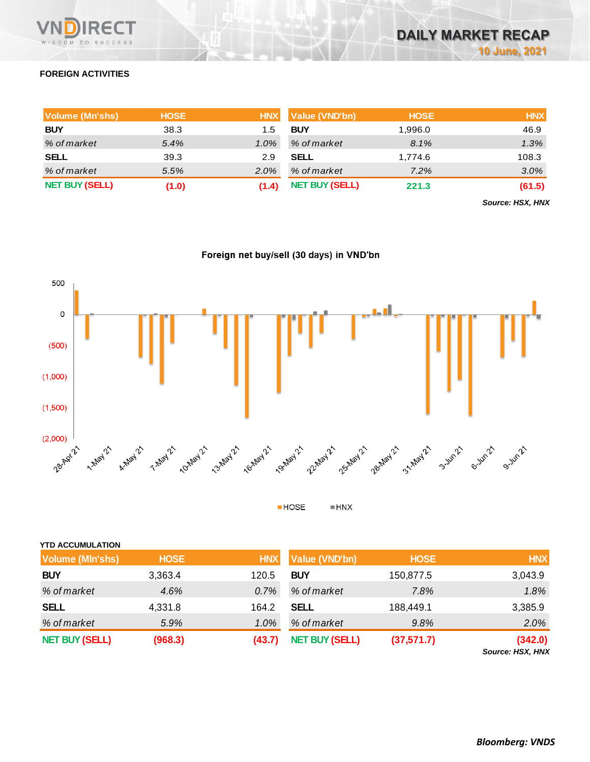

# **FOREIGN ACTIVITIES**

| Volume (Mn'shs)       | <b>HOSE</b> | <b>HNX</b> | <b>Value (VND'bn)</b> | <b>HOSE</b> | <b>HNX</b> |
|-----------------------|-------------|------------|-----------------------|-------------|------------|
| <b>BUY</b>            | 38.3        | 1.5        | <b>BUY</b>            | 1,996.0     | 46.9       |
| % of market           | 5.4%        | 1.0%       | % of market           | 8.1%        | 1.3%       |
| <b>SELL</b>           | 39.3        | 2.9        | <b>SELL</b>           | 1,774.6     | 108.3      |
| % of market           | 5.5%        | 2.0%       | % of market           | 7.2%        | 3.0%       |
| <b>NET BUY (SELL)</b> | (1.0)       | (1.4)      | <b>NET BUY (SELL)</b> | 221.3       | (61.5)     |

*Source: HSX, HNX*





 $HOSE$  $\blacksquare$  HNX

| <b>YTD ACCUMULATION</b> |             |            |                       |             |            |
|-------------------------|-------------|------------|-----------------------|-------------|------------|
| <b>Volume (MIn'shs)</b> | <b>HOSE</b> | <b>HNX</b> | Value (VND'bn)        | <b>HOSE</b> | <b>HNX</b> |
| <b>BUY</b>              | 3,363.4     | 120.5      | <b>BUY</b>            | 150,877.5   | 3,043.9    |
| % of market             | 4.6%        | 0.7%       | % of market           | 7.8%        | 1.8%       |
| <b>SELL</b>             | 4,331.8     | 164.2      | <b>SELL</b>           | 188,449.1   | 3,385.9    |
| % of market             | 5.9%        | 1.0%       | % of market           | 9.8%        | 2.0%       |
| <b>NET BUY (SELL)</b>   | (968.3)     | (43.7)     | <b>NET BUY (SELL)</b> | (37,571.7)  | (342.0)    |

*Source: HSX, HNX*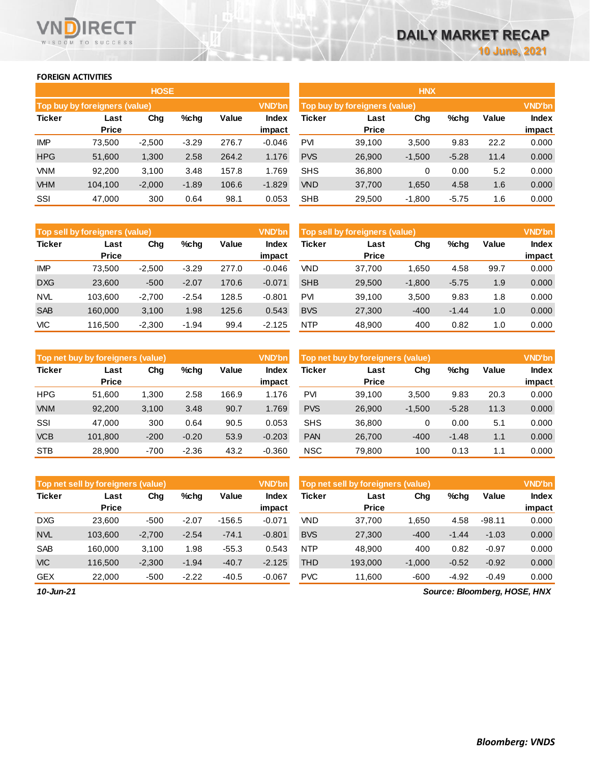### **FOREIGN ACTIVITIES**

**VNDIRECT** WISDOM TO SUCCESS

|               |                               | <b>HOSE</b> |         |       |               |            |                               | <b>HNX</b> |         |       |               |
|---------------|-------------------------------|-------------|---------|-------|---------------|------------|-------------------------------|------------|---------|-------|---------------|
|               | Top buy by foreigners (value) |             |         |       | <b>VND'bn</b> |            | Top buy by foreigners (value) |            |         |       | <b>VND'bn</b> |
| <b>Ticker</b> | Last                          | Chg         | $%$ chg | Value | <b>Index</b>  | Ticker     | Last                          | Chg        | %chg    | Value | <b>Index</b>  |
|               | <b>Price</b>                  |             |         |       | impact        |            | <b>Price</b>                  |            |         |       | impact        |
| <b>IMP</b>    | 73,500                        | $-2,500$    | $-3.29$ | 276.7 | $-0.046$      | <b>PVI</b> | 39.100                        | 3,500      | 9.83    | 22.2  | 0.000         |
| <b>HPG</b>    | 51,600                        | 1,300       | 2.58    | 264.2 | 1.176         | <b>PVS</b> | 26,900                        | $-1,500$   | $-5.28$ | 11.4  | 0.000         |
| <b>VNM</b>    | 92,200                        | 3,100       | 3.48    | 157.8 | 1.769         | <b>SHS</b> | 36,800                        | 0          | 0.00    | 5.2   | 0.000         |
| <b>VHM</b>    | 104.100                       | $-2,000$    | $-1.89$ | 106.6 | $-1.829$      | <b>VND</b> | 37,700                        | 1,650      | 4.58    | 1.6   | 0.000         |
| SSI           | 47,000                        | 300         | 0.64    | 98.1  | 0.053         | <b>SHB</b> | 29,500                        | $-1,800$   | $-5.75$ | 1.6   | 0.000         |

|               | Top sell by foreigners (value) |          |         |       | <b>VND'bn</b> |            | Top sell by foreigners (value), |          |         |       | <b>VND'bn</b> |
|---------------|--------------------------------|----------|---------|-------|---------------|------------|---------------------------------|----------|---------|-------|---------------|
| <b>Ticker</b> | Last                           | Chg      | %chg    | Value | Index         | Ticker     | Last                            | Chg      | %chg    | Value | <b>Index</b>  |
|               | <b>Price</b>                   |          |         |       | impact        |            | <b>Price</b>                    |          |         |       | impact        |
| <b>IMP</b>    | 73.500                         | $-2.500$ | $-3.29$ | 277.0 | $-0.046$      | <b>VND</b> | 37.700                          | 1.650    | 4.58    | 99.7  | 0.000         |
| <b>DXG</b>    | 23,600                         | $-500$   | $-2.07$ | 170.6 | $-0.071$      | <b>SHB</b> | 29,500                          | $-1,800$ | $-5.75$ | 1.9   | 0.000         |
| <b>NVL</b>    | 103.600                        | $-2.700$ | $-2.54$ | 128.5 | $-0.801$      | <b>PVI</b> | 39.100                          | 3.500    | 9.83    | 1.8   | 0.000         |
| <b>SAB</b>    | 160,000                        | 3,100    | 1.98    | 125.6 | 0.543         | <b>BVS</b> | 27,300                          | $-400$   | $-1.44$ | 1.0   | 0.000         |
| VIC           | 116.500                        | $-2.300$ | $-1.94$ | 99.4  | $-2.125$      | <b>NTP</b> | 48.900                          | 400      | 0.82    | 1.0   | 0.000         |

|               | Top net buy by foreigners (value) |        |         |       | <b>VND'bn</b> |            | Top net buy by foreigners (value) |          |         |              | <b>VND'bn</b> |
|---------------|-----------------------------------|--------|---------|-------|---------------|------------|-----------------------------------|----------|---------|--------------|---------------|
| <b>Ticker</b> | Last                              | Chg    | $%$ chg | Value | Index         | Ticker     | Last                              | Chg      | %chg    | <b>Value</b> | Index         |
|               | <b>Price</b>                      |        |         |       | impact        |            | <b>Price</b>                      |          |         |              | impact        |
| <b>HPG</b>    | 51,600                            | 1,300  | 2.58    | 166.9 | 1.176         | PVI        | 39,100                            | 3,500    | 9.83    | 20.3         | 0.000         |
| <b>VNM</b>    | 92,200                            | 3,100  | 3.48    | 90.7  | 1.769         | <b>PVS</b> | 26,900                            | $-1,500$ | $-5.28$ | 11.3         | 0.000         |
| SSI           | 47,000                            | 300    | 0.64    | 90.5  | 0.053         | <b>SHS</b> | 36,800                            | 0        | 0.00    | 5.1          | 0.000         |
| <b>VCB</b>    | 101,800                           | $-200$ | $-0.20$ | 53.9  | $-0.203$      | <b>PAN</b> | 26,700                            | $-400$   | $-1.48$ | 1.1          | 0.000         |
| <b>STB</b>    | 28,900                            | $-700$ | $-2.36$ | 43.2  | $-0.360$      | <b>NSC</b> | 79,800                            | 100      | 0.13    | 1.1          | 0.000         |

|                 | Top net sell by foreigners (value) |          |         |          | <b>VND'bn</b> |            | Top net sell by foreigners (value) |          |         |                            | <b>VND'bn</b> |
|-----------------|------------------------------------|----------|---------|----------|---------------|------------|------------------------------------|----------|---------|----------------------------|---------------|
| <b>Ticker</b>   | Last                               | Chg      | $%$ chg | Value    | Index         | Ticker     | Last                               | Chg      | %chg    | <b>Value</b>               | Index         |
|                 | <b>Price</b>                       |          |         |          | impact        |            | <b>Price</b>                       |          |         |                            | impact        |
| <b>DXG</b>      | 23,600                             | $-500$   | $-2.07$ | $-156.5$ | $-0.071$      | <b>VND</b> | 37,700                             | 1,650    | 4.58    | $-98.11$                   | 0.000         |
| <b>NVL</b>      | 103,600                            | $-2,700$ | $-2.54$ | $-74.1$  | $-0.801$      | <b>BVS</b> | 27,300                             | $-400$   | $-1.44$ | $-1.03$                    | 0.000         |
| <b>SAB</b>      | 160.000                            | 3,100    | 1.98    | $-55.3$  | 0.543         | <b>NTP</b> | 48.900                             | 400      | 0.82    | $-0.97$                    | 0.000         |
| <b>VIC</b>      | 116.500                            | $-2,300$ | $-1.94$ | $-40.7$  | $-2.125$      | THD        | 193,000                            | $-1,000$ | $-0.52$ | $-0.92$                    | 0.000         |
| <b>GEX</b>      | 22,000                             | $-500$   | $-2.22$ | $-40.5$  | $-0.067$      | <b>PVC</b> | 11,600                             | $-600$   | $-4.92$ | $-0.49$                    | 0.000         |
| $40 \;$ km $24$ |                                    |          |         |          |               |            |                                    |          |         | Course Dloamborn UOCE UNIV |               |

*10-Jun-21*

 $\mathcal{L}_{\mathcal{L}}$ 

 $\mathcal{L}_{\mathcal{A}}$ 

*Source: Bloomberg, HOSE, HNX*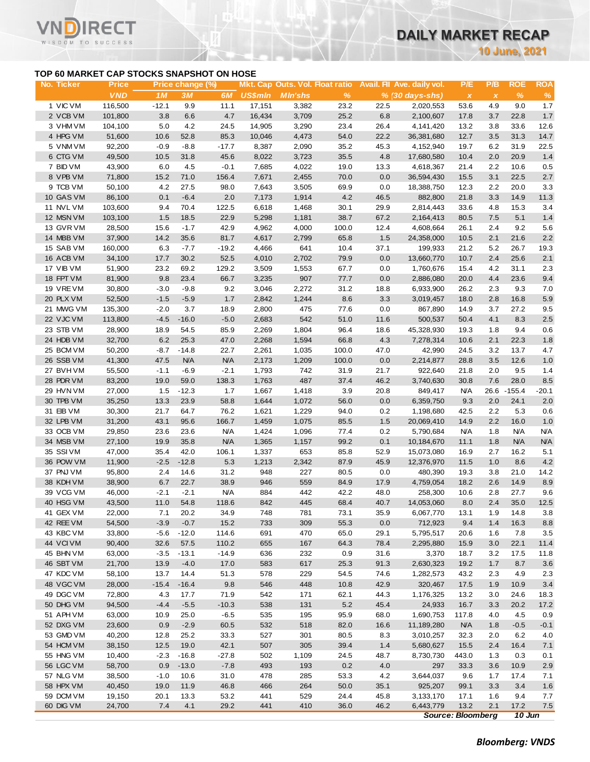**10 June, 2021**

### **TOP 60 MARKET CAP STOCKS SNAPSHOT ON HOSE**

Τ.

|                        |                                           |                  |                        |                   |                |                |                                                  |              |                                               |                         |                     | <b>10 June, 2021</b> |                    |
|------------------------|-------------------------------------------|------------------|------------------------|-------------------|----------------|----------------|--------------------------------------------------|--------------|-----------------------------------------------|-------------------------|---------------------|----------------------|--------------------|
|                        | TOP 60 MARKET CAP STOCKS SNAPSHOT ON HOSE |                  |                        |                   |                |                |                                                  |              |                                               |                         |                     |                      |                    |
| No. Ticker             | <b>Price</b><br><b>VND</b>                | 1M               | Price change (%)<br>3M | 6M                | <b>US\$mln</b> | <b>MIn'shs</b> | Mkt. Cap Outs. Vol. Float ratio<br>$\frac{9}{6}$ |              | Avail. Fil Ave. daily vol.<br>% (30 days-shs) | P/E<br>$\boldsymbol{x}$ | P/B<br>$\pmb{\chi}$ | <b>ROE</b><br>$\%$   | <b>ROA</b><br>$\%$ |
| 1 VIC VM               | 116,500                                   | $-12.1$          | 9.9                    | 11.1              | 17,151         | 3,382          | 23.2                                             | 22.5         | 2,020,553                                     | 53.6                    | 4.9                 | 9.0                  | 1.7                |
| 2 VCB VM               | 101,800                                   | 3.8              | 6.6                    | 4.7               | 16,434         | 3,709          | 25.2                                             | 6.8          | 2,100,607                                     | 17.8                    | 3.7                 | 22.8                 | $1.7$              |
| 3 VHM VM               | 104,100                                   | 5.0              | 4.2                    | 24.5              | 14,905         | 3,290          | 23.4                                             | 26.4         | 4,141,420                                     | 13.2                    | 3.8                 | 33.6                 | 12.6               |
| 4 HPG VM               | 51,600                                    | 10.6             | 52.8                   | 85.3              | 10,046         | 4,473          | 54.0                                             | 22.2         | 36,381,680                                    | 12.7                    | 3.5                 | 31.3                 | 14.7               |
| 5 VNM VM               | 92,200                                    | $-0.9$           | $-8.8$                 | $-17.7$           | 8,387          | 2,090          | 35.2                                             | 45.3         | 4,152,940                                     | 19.7                    | 6.2                 | 31.9                 | 22.5               |
| 6 CTG VM<br>7 BID VM   | 49,500<br>43,900                          | 10.5<br>6.0      | 31.8<br>4.5            | 45.6<br>$-0.1$    | 8,022<br>7,685 | 3,723<br>4,022 | 35.5<br>19.0                                     | 4.8<br>13.3  | 17,680,580<br>4,618,367                       | 10.4<br>21.4            | 2.0<br>2.2          | 20.9<br>10.6         | 1.4<br>0.5         |
| 8 VPB VM               | 71,800                                    | 15.2             | 71.0                   | 156.4             | 7,671          | 2,455          | 70.0                                             | 0.0          | 36,594,430                                    | 15.5                    | 3.1                 | 22.5                 | 2.7                |
| 9 TCB VM               | 50,100                                    | 4.2              | 27.5                   | 98.0              | 7,643          | 3,505          | 69.9                                             | 0.0          | 18,388,750                                    | 12.3                    | 2.2                 | 20.0                 | 3.3                |
| 10 GAS VM              | 86,100                                    | 0.1              | $-6.4$                 | 2.0               | 7,173          | 1,914          | 4.2                                              | 46.5         | 882,800                                       | 21.8                    | 3.3                 | 14.9                 | 11.3               |
| 11 NVL VM              | 103,600                                   | 9.4              | 70.4                   | 122.5             | 6,618          | 1,468          | 30.1                                             | 29.9         | 2,814,443                                     | 33.6                    | 4.8                 | 15.3                 | 3.4                |
| 12 MSN VM              | 103,100                                   | 1.5              | 18.5                   | 22.9              | 5,298          | 1,181          | 38.7                                             | 67.2         | 2,164,413                                     | 80.5                    | 7.5                 | 5.1                  | 1.4                |
| 13 GVR VM              | 28,500                                    | 15.6             | $-1.7$                 | 42.9              | 4,962          | 4,000          | 100.0                                            | 12.4         | 4,608,664                                     | 26.1                    | 2.4                 | 9.2                  | 5.6                |
| 14 MBB VM              | 37,900                                    | 14.2             | 35.6                   | 81.7              | 4,617          | 2,799          | 65.8                                             | 1.5          | 24,358,000                                    | 10.5                    | 2.1                 | 21.6                 | 2.2                |
| 15 SAB VM              | 160,000                                   | 6.3              | $-7.7$                 | $-19.2$           | 4,466          | 641            | 10.4                                             | 37.1         | 199,933                                       | 21.2                    | 5.2                 | 26.7                 | 19.3               |
| 16 ACB VM              | 34,100                                    | 17.7             | 30.2                   | 52.5              | 4,010          | 2,702          | 79.9                                             | 0.0          | 13,660,770                                    | 10.7                    | 2.4                 | 25.6                 | 2.1                |
| 17 VIB VM              | 51,900                                    | 23.2             | 69.2                   | 129.2             | 3,509          | 1,553          | 67.7                                             | 0.0          | 1,760,676                                     | 15.4                    | 4.2                 | 31.1                 | 2.3                |
| 18 FPT VM              | 81,900                                    | 9.8              | 23.4                   | 66.7              | 3,235          | 907            | 77.7                                             | 0.0          | 2,886,080                                     | 20.0                    | 4.4                 | 23.6                 | 9.4                |
| 19 VREVM               | 30,800                                    | $-3.0$           | $-9.8$                 | 9.2               | 3,046          | 2,272          | 31.2                                             | 18.8         | 6,933,900                                     | 26.2                    | 2.3                 | 9.3                  | 7.0                |
| 20 PLX VM              | 52,500                                    | $-1.5$           | $-5.9$                 | 1.7               | 2,842          | 1,244          | 8.6                                              | 3.3          | 3,019,457                                     | 18.0                    | 2.8                 | 16.8                 | 5.9                |
| 21 MWG VM<br>22 VJC VM | 135,300<br>113,800                        | $-2.0$<br>$-4.5$ | 3.7<br>$-16.0$         | 18.9<br>$-5.0$    | 2,800<br>2,683 | 475<br>542     | 77.6<br>51.0                                     | 0.0<br>11.6  | 867,890<br>500,537                            | 14.9<br>50.4            | 3.7<br>4.1          | 27.2<br>8.3          | 9.5<br>2.5         |
| 23 STB VM              | 28,900                                    | 18.9             | 54.5                   | 85.9              | 2,269          | 1,804          | 96.4                                             | 18.6         | 45,328,930                                    | 19.3                    | 1.8                 | 9.4                  | 0.6                |
| 24 HDB VM              | 32,700                                    | 6.2              | 25.3                   | 47.0              | 2,268          | 1,594          | 66.8                                             | 4.3          | 7,278,314                                     | 10.6                    | 2.1                 | 22.3                 | 1.8                |
| 25 BCM VM              | 50,200                                    | $-8.7$           | $-14.8$                | 22.7              | 2,261          | 1,035          | 100.0                                            | 47.0         | 42,990                                        | 24.5                    | 3.2                 | 13.7                 | 4.7                |
| 26 SSB VM              | 41,300                                    | 47.5             | <b>N/A</b>             | <b>N/A</b>        | 2,173          | 1,209          | 100.0                                            | 0.0          | 2,214,877                                     | 28.8                    | 3.5                 | 12.6                 | 1.0                |
| 27 BVHVM               | 55,500                                    | $-1.1$           | $-6.9$                 | $-2.1$            | 1,793          | 742            | 31.9                                             | 21.7         | 922,640                                       | 21.8                    | 2.0                 | 9.5                  | 1.4                |
| 28 PDR VM              | 83,200                                    | 19.0             | 59.0                   | 138.3             | 1,763          | 487            | 37.4                                             | 46.2         | 3,740,630                                     | 30.8                    | 7.6                 | 28.0                 | 8.5                |
| 29 HVN VM              | 27,000                                    | 1.5              | $-12.3$                | 1.7               | 1,667          | 1,418          | 3.9                                              | 20.8         | 849,417                                       | <b>N/A</b>              | 26.6                | $-155.4$             | $-20.1$            |
| 30 TPB VM              | 35,250                                    | 13.3             | 23.9                   | 58.8              | 1,644          | 1,072          | 56.0                                             | 0.0          | 6,359,750                                     | 9.3                     | 2.0                 | 24.1                 | 2.0                |
| 31 EIB VM              | 30,300                                    | 21.7             | 64.7                   | 76.2              | 1,621          | 1,229          | 94.0                                             | 0.2          | 1,198,680                                     | 42.5                    | 2.2                 | 5.3                  | 0.6                |
| 32 LPB VM              | 31,200                                    | 43.1             | 95.6                   | 166.7             | 1,459          | 1,075          | 85.5                                             | 1.5          | 20,069,410                                    | 14.9                    | 2.2                 | 16.0                 | 1.0                |
| 33 OCB VM              | 29,850                                    | 23.6             | 23.6                   | <b>N/A</b>        | 1,424          | 1,096          | 77.4                                             | 0.2          | 5,790,684                                     | <b>N/A</b>              | 1.8                 | <b>N/A</b>           | <b>N/A</b>         |
| 34 MSB VM<br>35 SSIVM  | 27,100                                    | 19.9             | 35.8                   | <b>N/A</b>        | 1,365          | 1,157          | 99.2                                             | 0.1          | 10,184,670                                    | 11.1                    | 1.8                 | <b>N/A</b>           | <b>N/A</b>         |
| 36 POW VM              | 47,000<br>11,900                          | 35.4<br>$-2.5$   | 42.0<br>$-12.8$        | 106.1<br>5.3      | 1,337<br>1,213 | 653<br>2,342   | 85.8<br>87.9                                     | 52.9<br>45.9 | 15,073,080<br>12,376,970                      | 16.9<br>11.5            | 2.7<br>1.0          | 16.2<br>8.6          | 5.1<br>4.2         |
| 37 PNJ VM              | 95,800                                    | 2.4              | 14.6                   | 31.2              | 948            | 227            | 80.5                                             | 0.0          | 480,390                                       | 19.3                    | 3.8                 | 21.0                 | 14.2               |
| 38 KDH VM              | 38,900                                    | 6.7              | 22.7                   | 38.9              | 946            | 559            | 84.9                                             | 17.9         | 4,759,054                                     | 18.2                    | 2.6                 | 14.9                 | 8.9                |
| 39 VCG VM              | 46,000                                    | $-2.1$           | $-2.1$                 | <b>N/A</b>        | 884            | 442            | 42.2                                             | 48.0         | 258,300                                       | 10.6                    | 2.8                 | 27.7                 | 9.6                |
| 40 HSG VM              | 43,500                                    | 11.0             | 54.8                   | 118.6             | 842            | 445            | 68.4                                             | 40.7         | 14,053,060                                    | 8.0                     | 2.4                 | 35.0                 | 12.5               |
| 41 GEX VM              | 22,000                                    | 7.1              | 20.2                   | 34.9              | 748            | 781            | 73.1                                             | 35.9         | 6,067,770                                     | 13.1                    | 1.9                 | 14.8                 | 3.8                |
| 42 REE VM              | 54,500                                    | $-3.9$           | $-0.7$                 | 15.2              | 733            | 309            | 55.3                                             | 0.0          | 712,923                                       | 9.4                     | 1.4                 | 16.3                 | 8.8                |
| 43 KBC VM              | 33,800                                    | $-5.6$           | $-12.0$                | 114.6             | 691            | 470            | 65.0                                             | 29.1         | 5,795,517                                     | 20.6                    | 1.6                 | 7.8                  | 3.5                |
| 44 VCIVM               | 90,400                                    | 32.6             | 57.5                   | 110.2             | 655            | 167            | 64.3                                             | 78.4         | 2,295,880                                     | 15.9                    | 3.0                 | 22.1                 | 11.4               |
| 45 BHN VM              | 63,000                                    | $-3.5$           | $-13.1$                | $-14.9$           | 636            | 232            | 0.9                                              | 31.6         | 3,370                                         | 18.7                    | 3.2                 | 17.5                 | 11.8               |
| 46 SBT VM              | 21,700                                    | 13.9             | $-4.0$                 | 17.0              | 583            | 617            | 25.3                                             | 91.3         | 2,630,323                                     | 19.2                    | 1.7                 | 8.7                  | 3.6                |
| 47 KDC VM              | 58,100                                    | 13.7             | 14.4                   | 51.3              | 578            | 229            | 54.5                                             | 74.6         | 1,282,573                                     | 43.2                    | 2.3                 | 4.9                  | 2.3                |
| 48 VGC VM              | 28,000                                    | $-15.4$          | $-16.4$                | 9.8               | 546            | 448            | 10.8                                             | 42.9         | 320,467                                       | 17.5                    | 1.9                 | 10.9                 | 3.4                |
| 49 DGC VM              | 72,800                                    | 4.3              | 17.7<br>$-5.5$         | 71.9              | 542            | 171            | 62.1                                             | 44.3         | 1,176,325                                     | 13.2                    | 3.0                 | 24.6                 | 18.3               |
| 50 DHG VM<br>51 APH VM | 94,500<br>63,000                          | $-4.4$<br>10.9   | 25.0                   | $-10.3$<br>$-6.5$ | 538<br>535     | 131<br>195     | 5.2<br>95.9                                      | 45.4<br>68.0 | 24,933<br>1,690,753                           | 16.7<br>117.8           | 3.3<br>4.0          | 20.2<br>4.5          | 17.2<br>0.9        |
| 52 DXG VM              | 23,600                                    | 0.9              | $-2.9$                 | 60.5              | 532            | 518            | 82.0                                             | 16.6         | 11,189,280                                    | <b>N/A</b>              | 1.8                 | $-0.5$               | $-0.1$             |
| 53 GMD VM              | 40,200                                    | 12.8             | 25.2                   | 33.3              | 527            | 301            | 80.5                                             | 8.3          | 3,010,257                                     | 32.3                    | 2.0                 | 6.2                  | 4.0                |
| 54 HCM VM              | 38,150                                    | 12.5             | 19.0                   | 42.1              | 507            | 305            | 39.4                                             | 1.4          | 5,680,627                                     | 15.5                    | 2.4                 | 16.4                 | 7.1                |
| 55 HNG VM              | 10,400                                    | $-2.3$           | $-16.8$                | $-27.8$           | 502            | 1,109          | 24.5                                             | 48.7         | 8,730,730                                     | 443.0                   | 1.3                 | 0.3                  | 0.1                |
| 56 LGC VM              | 58,700                                    | 0.9              | $-13.0$                | $-7.8$            | 493            | 193            | 0.2                                              | 4.0          | 297                                           | 33.3                    | 3.6                 | 10.9                 | 2.9                |
| 57 NLG VM              | 38,500                                    | $-1.0$           | 10.6                   | 31.0              | 478            | 285            | 53.3                                             | 4.2          | 3,644,037                                     | 9.6                     | 1.7                 | 17.4                 | 7.1                |
| 58 HPX VM              | 40,450                                    | 19.0             | 11.9                   | 46.8              | 466            | 264            | 50.0                                             | 35.1         | 925,207                                       | 99.1                    | 3.3                 | 3.4                  | 1.6                |
| 59 DCM VM              | 19,150                                    | 20.1             | 13.3                   | 53.2              | 441            | 529            | 24.4                                             | 45.8         | 3,133,170                                     | 17.1                    | 1.6                 | 9.4                  | 7.7                |
| 60 DIG VM              | 24,700                                    | 7.4              | 4.1                    | 29.2              | 441            | 410            | 36.0                                             | 46.2         | 6,443,779                                     | 13.2                    | 2.1                 | 17.2                 | 7.5                |